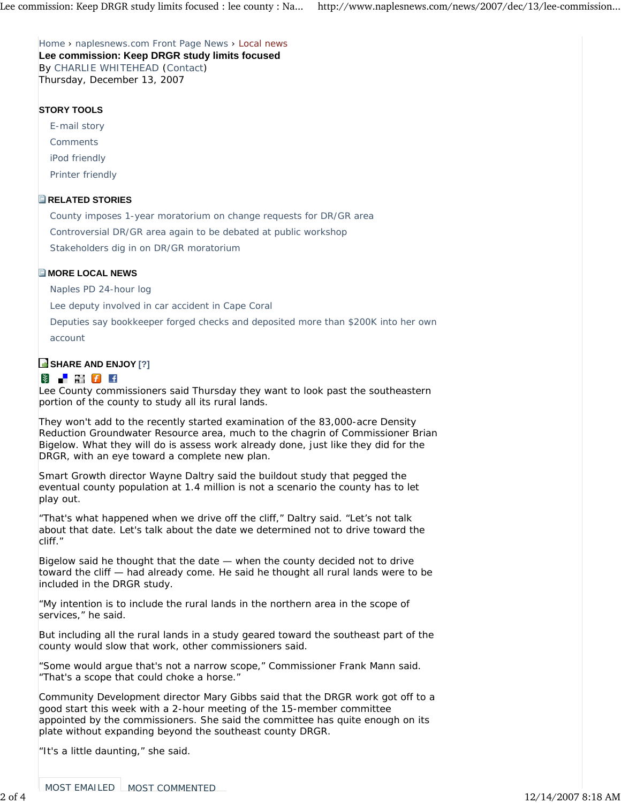Home › naplesnews.com Front Page News › Local news **Lee commission: Keep DRGR study limits focused** By CHARLIE WHITEHEAD (Contact) Thursday, December 13, 2007

## **STORY TOOLS**

E-mail story

Comments

iPod friendly

Printer friendly

## **RELATED STORIES**

County imposes 1-year moratorium on change requests for DR/GR area

Controversial DR/GR area again to be debated at public workshop

Stakeholders dig in on DR/GR moratorium

## **E** MORE LOCAL NEWS

Naples PD 24-hour log

Lee deputy involved in car accident in Cape Coral

Deputies say bookkeeper forged checks and deposited more than \$200K into her own account

## **B** SHARE AND ENJOY [?]

# **\$** | M *f* +

Lee County commissioners said Thursday they want to look past the southeastern portion of the county to study all its rural lands.

They won't add to the recently started examination of the 83,000-acre Density Reduction Groundwater Resource area, much to the chagrin of Commissioner Brian Bigelow. What they will do is assess work already done, just like they did for the DRGR, with an eye toward a complete new plan.

Smart Growth director Wayne Daltry said the buildout study that pegged the eventual county population at 1.4 million is not a scenario the county has to let play out.

"That's what happened when we drive off the cliff," Daltry said. "Let's not talk about that date. Let's talk about the date we determined not to drive toward the cliff."

Bigelow said he thought that the date — when the county decided not to drive toward the cliff — had already come. He said he thought all rural lands were to be included in the DRGR study.

"My intention is to include the rural lands in the northern area in the scope of services," he said.

But including all the rural lands in a study geared toward the southeast part of the county would slow that work, other commissioners said.

"Some would argue that's not a narrow scope," Commissioner Frank Mann said. "That's a scope that could choke a horse."

Community Development director Mary Gibbs said that the DRGR work got off to a good start this week with a 2-hour meeting of the 15-member committee appointed by the commissioners. She said the committee has quite enough on its plate without expanding beyond the southeast county DRGR.

"It's a little daunting," she said.